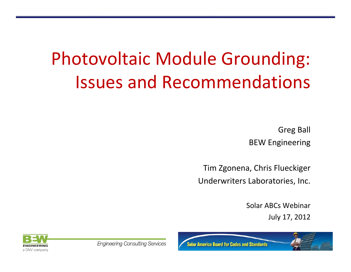# Photovoltaic Module Grounding: Issues and Recommendations

Greg Ball BEW Engineering

Tim Zgonena, Chris Flueckiger Underwriters Laboratories, Inc.

> Solar ABCs Webinar July 17, 2012

**ENGINEERING** a DNV company

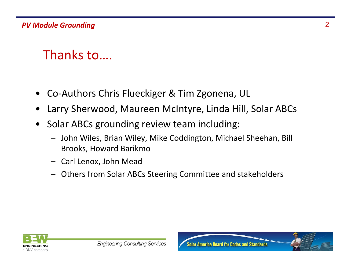### Thanks to….

- •Co‐Authors Chris Flueckiger & Tim Zgonena, UL
- •Larry Sherwood, Maureen McIntyre, Linda Hill, Solar ABCs
- • Solar ABCs grounding review team including:
	- – John Wiles, Brian Wiley, Mike Coddington, Michael Sheehan, Bill Brooks, Howard Barikmo
	- Carl Lenox, John Mead
	- –Others from Solar ABCs Steering Committee and stakeholders

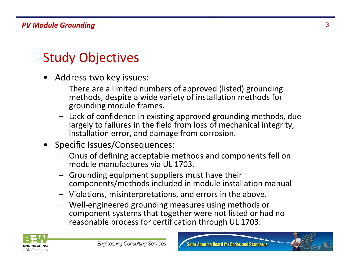## Study Objectives

- • Address two key issues:
	- There are <sup>a</sup> limited numbers of approved (listed) grounding methods, despite <sup>a</sup> wide variety of installation methods for grounding module frames.
	- Lack of confidence in existing approved grounding methods, due largely to failures in the field from loss of mechanical integrity, installation error, and damage from corrosion.
- • Specific Issues/Consequences:
	- Onus of defining acceptable methods and components fell on module manufactures via UL 1703.
	- Grounding equipment suppliers must have their components/methods included in module installation manual
	- Violations, misinterpretations, and errors in the above.
	- Well‐engineered grounding measures using methods or component systems that together were not listed or had no reasonable process for certification through UL 1703.



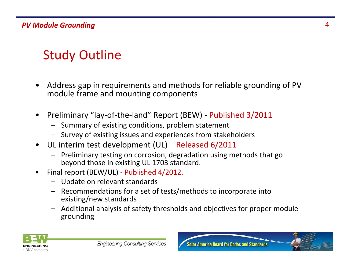## Study Outline

- • Address gap in requirements and methods for reliable grounding of PV module frame and mounting components
- $\bullet$  Preliminary "lay‐of‐the‐land" Report (BEW) ‐ Published 3/2011
	- Summary of existing conditions, problem statement
	- Survey of existing issues and experiences from stakeholders
- $\bullet$  UL interim test development (UL) – Released 6/2011
	- – Preliminary testing on corrosion, degradation using methods that go beyond those in existing UL 1703 standard.
- • Final report (BEW/UL) ‐ Published 4/2012.
	- Update on relevant standards
	- Recommendations for <sup>a</sup> set of tests/methods to incorporate into existing/new standards
	- Additional analysis of safety thresholds and objectives for proper module grounding

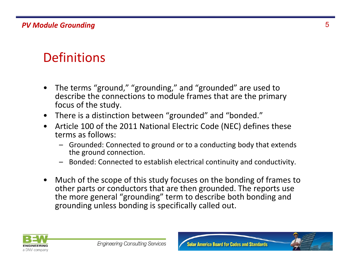## **Definitions**

- • The terms "ground," "grounding," and "grounded" are used to describe the connections to module frames that are the primary focus of the study.
- There is <sup>a</sup> distinction between "grounded" and "bonded."
- $\bullet$  Article 100 of the 2011 National Electric Code (NEC) defines these terms as follows:
	- Grounded: Connected to ground or to <sup>a</sup> conducting body that extends the ground connection.
	- Bonded: Connected to establish electrical continuity and conductivity.
- $\bullet$  Much of the scope of this study focuses on the bonding of frames to other parts or conductors that are then grounded. The reports use the more general "grounding" term to describe both bonding and grounding unless bonding is specifically called out.



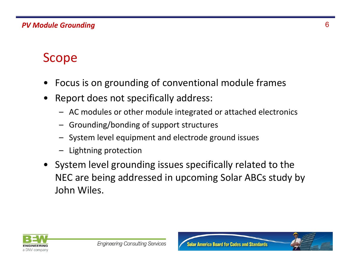### Scope

- •Focus is on grounding of conventional module frames
- • Report does not specifically address:
	- AC modules or other module integrated or attached electronics
	- –Grounding/bonding of support structures
	- System level equipment and electrode ground issues
	- Lightning protection
- System level grounding issues specifically related to the NEC are being addressed in upcoming Solar ABCs study by John Wiles.

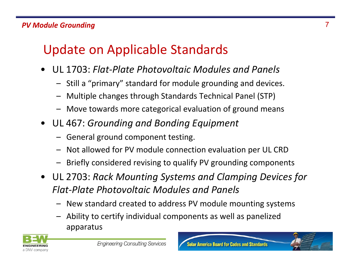## Update on Applicable Standards

- • UL 1703: *Flat‐Plate Photovoltaic Modules and Panels*
	- Still a "primary" standard for module grounding and devices.
	- –Multiple changes through Standards Technical Panel (STP)
	- Move towards more categorical evaluation of ground means
- UL 467: *Grounding and Bonding Equipment*
	- General ground component testing.
	- Not allowed for PV module connection evaluation per UL CRD
	- Briefly considered revising to qualify PV grounding components
- UL 2703: *Rack Mounting Systems and Clamping Devices for Flat‐Plate Photovoltaic Modules and Panels*
	- New standard created to address PV module mounting systems
	- Ability to certify individual components as well as panelized apparatus

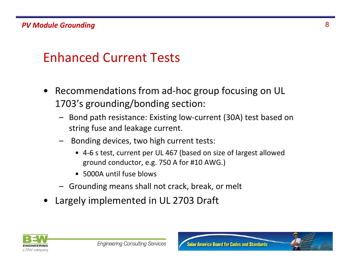### Enhanced Current Tests

- $\bullet$  Recommendations from ad‐hoc group focusing on UL 1703's grounding/bonding section:
	- Bond path resistance: Existing low‐current (30A) test based on string fuse and leakage current.
	- – Bonding devices, two high current tests:
		- 4‐6 <sup>s</sup> test, current per UL 467 (based on size of largest allowed ground conductor, e.g. 750 A for #10 AWG.)
		- 5000A until fuse blows
	- Grounding means shall not crack, break, or melt
- •Largely implemented in UL 2703 Draft

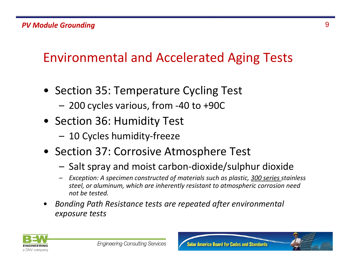## Environmental and Accelerated Aging Tests

- Section 35: Temperature Cycling Test
	- 200 cycles various, from ‐40 to +90C
- Section 36: Humidity Test
	- 10 Cycles humidity‐freeze
- Section 37: Corrosive Atmosphere Test
	- Salt spray and moist carbon‐dioxide/sulphur dioxide
	- – *Exception: A specimen constructed of materials such as plastic, 300 series stainless steel, or aluminum, which are inherently resistant to atmospheric corrosion need not be tested.*
- • *Bonding Path Resistance tests are repeated after environmental exposure tests*

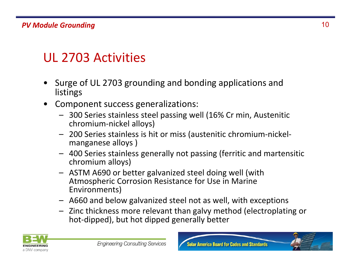### UL 2703 Activities

- • Surge of UL 2703 grounding and bonding applications and listings
- $\bullet$  Component success generalizations:
	- 300 Series stainless steel passing well (16% Cr min, Austenitic chromium‐nickel alloys)
	- 200 Series stainless is hit or miss (austenitic chromium‐nickel‐ manganese alloys )
	- 400 Series stainless generally not passing (ferritic and martensitic chromium alloys)
	- ASTM A690 or better galvanized steel doing well (with Atmospheric Corrosion Resistance for Use in Marine Environments)
	- A660 and below galvanized steel not as well, with exceptions
	- Zinc thickness more relevant than galvy method (electroplating or hot-dipped), but hot dipped generally better



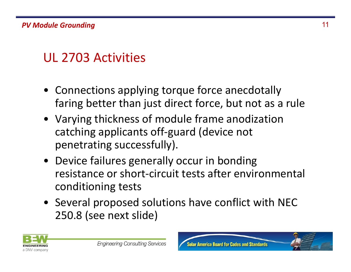## UL 2703 Activities

- Connections applying torque force anecdotally faring better than just direct force, but not as <sup>a</sup> rule
- Varying thickness of module frame anodization catching applicants off‐guard (device not penetrating successfully).
- Device failures generally occur in bonding resistance or short‐circuit tests after environmental conditioning tests
- Several proposed solutions have conflict with NEC 250.8 (see next slide)

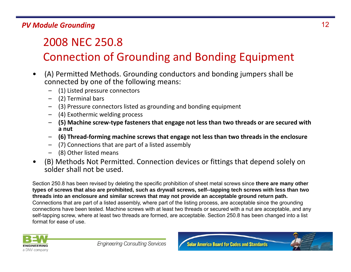### 2008 NEC 250.8 Connection of Grounding and Bonding Equipment

- • (A) Permitted Methods. Grounding conductors and bonding jumpers shall be connected by one of the following means:
	- –(1) Listed pressure connectors
	- –(2) Terminal bars
	- –(3) Pressure connectors listed as grounding and bonding equipment
	- (4) Exothermic welding process
	- **(5) Machine screw‐type fasteners that engage not less than two threads or are secured with a nut**
	- **(6) Thread‐forming machine screws that engage not less than two threads in the enclosure**
	- (7) Connections that are part of <sup>a</sup> listed assembly
	- –(8) Other listed means
- • (B) Methods Not Permitted. Connection devices or fittings that depend solely on solder shall not be used.

Section 250.8 has been revised by deleting the specific prohibition of sheet metal screws since **there are many other types of screws that also are prohibited, such as drywall screws, self--tapping tech screws with less than two threads into an enclosure and similar screws that may not provide an acceptable ground return path.**  Connections that are part of a listed assembly, where part of the listing process, are acceptable since the grounding connections have been tested. Machine screws with at least two threads or secured with a nut are acceptable, and any self-tapping screw, where at least two threads are formed, are acceptable. Section 250.8 has been changed into a list format for ease of use.



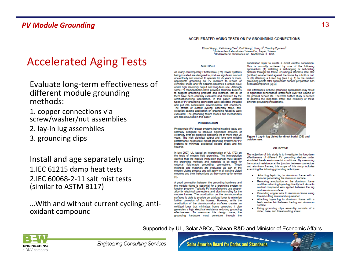### Accelerated Aging Tests

- Evaluate long‐term effectiveness of different module grounding methods:
- 1. copper connections via screw/washer/nut assemblies
- 2. lay‐in lug assemblies
- 3. grounding clips

Install and age separately using: 1.IEC 61215 damp heat tests 2.IEC 60068‐2‐11 salt mist tests (similar to ASTM B117)

…With and without current cycling, anti‐ oxidant compound

#### ACCELERATED AGING TESTS ON PV GROUNDING CONNECTIONS

Ethan Wang<sup>1</sup>, Kai-Hsiang Yen<sup>1</sup>, Carl Wang<sup>1</sup>, Liang Ji<sup>2</sup>, Timothy Zgonena<sup>2</sup> Underwriters Laboratories Taiwan Co., Taipei, Taiwan <sup>2</sup>Underwriters Laboratories Inc., Northbrook, IL, USA

#### **ABSTRACT**

As many contemporary Photovoltaic (PV) Power systems being installed are designed to produce significant amount of electricity and claimed to operate for 25 years or more, appropriate grounding on PV modules to reduce or eliminate shock and fire hazards becomes a critical issue under high electricity output and long-term use. Although some PV manufacturers have provided technical bulletins to suggest grounding products and methods, not all of them have been carefully evaluated and reviewed by the certification/listing laboratories. In this paper, different types of PV grounding connectors were collected, installed and put into accelerated environmental test chambers. The effects of current cycling, assembly force, antioxidation coating application on grounding reliability were evaluated. The grounding failure modes and mechanisms are also discussed in this paper.

#### **INTRODUCTION**

Photovoltaic (PV) power systems being installed today are normally designed to produce significant amounts of electricity over an expected operating life of more than 25 years. The high electrical output and long-term reliable performance necessitate robust grounding systems for PV systems to minimize accidental electric shock and fire hazards.

In late 2007, UL issued an Interpretation of UL 1703 on the topic of module field grounding. The Interpretation clarified that the module instruction manual must specify the grounding methods and materials to be used for external field-made grounding connections. These methods and materials are evaluated as part of the module Listing process and will apply to all existing Listed modules and their instructions as they come up for review [1].

A good connection between the grounding hardware and the module frame is essential for a grounding system to function properly. Typically PV manufacturers use copperalloy for electrical connections and aluminum-alloy for the module frames. The anodization on the aluminum-alloy surfaces is able to provide an oxidized layer to minimize further corrosion of the frames. However, while the anodization of the aluminum-alloy surfaces creates an oxidized layer that minimizes frame corrosion, it also generates a high electrical resistance reducing grounding effectiveness. To overcome this design issue, the grounding hardware must penetrate through the

anodization layer to create a direct electric connection. This is normally achieved by one of the following approaches: (1) Installing a self-tapping or self-drilling fastener through the frame, (2) using a stainless steel star (toothed) washer held against the frame by a bolt or nut. or (3) attaching a Listed lug (see Fig. 1) to the marked grounding points after appropriate surface preparation has been accomplished [2] [3].

The differences in these grounding approaches may result in significant performance differences over the course of the product service life. Therefore further study is needed to address the long-term effect and reliability of these different grounding installations.



Figure 1 Lay-in lug Listed for direct burial (DB) and outdoor use.

#### **OBJECTIVE**

The objective of this study is to investigate the long-term effectiveness of different PV grounding devices under simulated harsh environmental conditions. By measuring the contact resistance at the junction between connectors and aluminum frames, this scope of this study includes examining the following grounding techniques:

- Attaching lay-in lug to aluminum frame with a lock-nut penetrating the aluminum surface.
- Removing anodization on the aluminum frame and then attaching lay-in lug directly to it. An antioxidant compound was applied between the lug and aluminum surface.
- Grounding copper wire to aluminum frame using thread-cutting screw and cup washer.
- Attaching lay-in lug to aluminum frame with a teeth washer laid between the lug and aluminum surface
- Using grounding clips assembly consists of a slider, base, and thread-cutting screw.

#### Supported by UL, Solar ABCs, Taiwan R&D and Minister of Economic Affairs



**Engineering Consulting Services** 

**Solar America Board for Codes and Standards** 

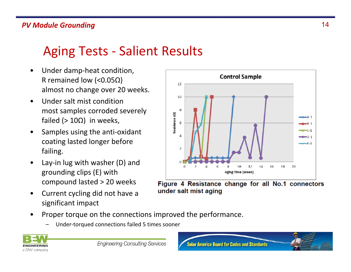### Aging Tests ‐ Salient Results

- $\bullet$  Under damp‐heat condition, R remained low (<0.05Ω) almost no change over 20 weeks.
- • Under salt mist conditionmost samples corroded severely failed (> 10Ω) in weeks,
- • Samples using the anti‐oxidant coating lasted longer before failing.
- • Lay‐in lug with washer (D) and grounding clips (E) with compound lasted <sup>&</sup>gt; 20 weeks
- • Current cycling did not have <sup>a</sup> significant impact



Figure 4 Resistance change for all No.1 connectors under salt mist aging

- • Proper torque on the connections improved the performance.
	- –Under‐torqued connections failed 5 times sooner



**Engineering Consulting Services** 

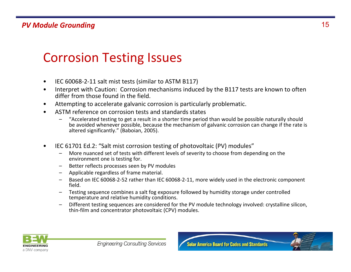### Corrosion Testing Issues

- •IEC 60068‐2‐11 salt mist tests (similar to ASTM B117)
- • Interpret with Caution: Corrosion mechanisms induced by the B117 tests are known to often differ from those found in the field.
- •Attempting to accelerate galvanic corrosion is particularly problematic.
- • ASTM reference on corrosion tests and standards states
	- "Accelerated testing to get <sup>a</sup> result in <sup>a</sup> shorter time period than would be possible naturally should be avoided whenever possible, because the mechanism of galvanic corrosion can change if the rate is altered significantly." (Baboian, 2005).
- • IEC 61701 Ed.2: "Salt mist corrosion testing of photovoltaic (PV) modules"
	- More nuanced set of tests with different levels of severity to choose from depending on the environment one is testing for.
	- Better reflects processes seen by PV modules
	- Applicable regardless of frame material.
	- – Based on IEC 60068‐2‐52 rather than IEC 60068‐2‐11, more widely used in the electronic component field.
	- Testing sequence combines <sup>a</sup> salt fog exposure followed by humidity storage under controlled temperature and relative humidity conditions.
	- – Different testing sequences are considered for the PV module technology involved: crystalline silicon, thin‐film and concentrator photovoltaic (CPV) modules.

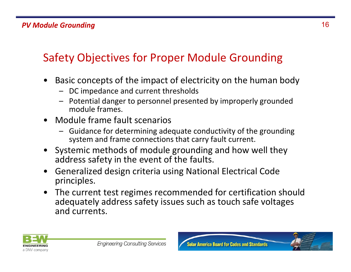### Safety Objectives for Proper Module Grounding

- • Basic concepts of the impact of electricity on the human body
	- DC impedance and current thresholds
	- Potential danger to personnel presented by improperly grounded module frames.
- $\bullet$  Module frame fault scenarios
	- Guidance for determining adequate conductivity of the grounding system and frame connections that carry fault current.
- $\bullet$  Systemic methods of module grounding and how well they address safety in the event of the faults.
- $\bullet$  Generalized design criteria using National Electrical Code principles.
- $\bullet$  The current test regimes recommended for certification should adequately address safety issues such as touch safe voltages and currents.



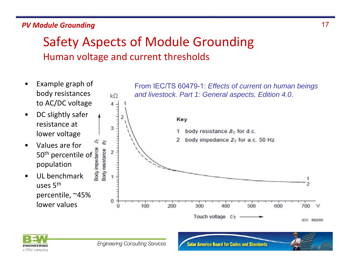### Safety Aspects of Module Grounding Human voltage and current thresholds





**Solar America Board for Codes and Standards** 

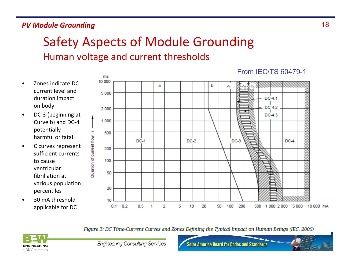### Safety Aspects of Module Grounding Human voltage and current thresholds

- • Zones indicate DCcurrent level andduration impact on body
- • DC‐3 (beginning at Curve b) and DC‐4 potentially harmful or fatal
- • C curves represent sufficient currentsto cause ventricularfibrillation at various population percentiles
- • 30 mA threshold applicable for DC



Figure 3: DC Time-Current Curves and Zones Defining the Typical Impact on Human Beings (IEC, 2005)



**Engineering Consulting Services** 

**Solar America Board for Codes and Standards** 

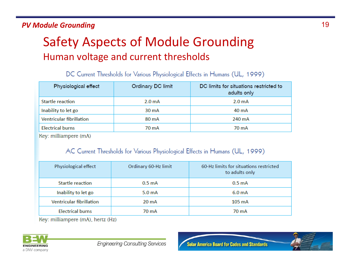### Safety Aspects of Module Grounding Human voltage and current thresholds

| Physiological effect            | Ordinary DC limit  | DC limits for situations restricted to<br>adults only |
|---------------------------------|--------------------|-------------------------------------------------------|
| <b>Startle reaction</b>         | 2.0 <sub>m</sub> A | 2.0 <sub>m</sub> A                                    |
| Inability to let go             | 30 mA              | 40 mA                                                 |
| <b>Ventricular fibrillation</b> | 80 mA              | 240 mA                                                |
| <b>Electrical burns</b>         | 70 mA              | 70 mA                                                 |

DC Current Thresholds for Various Physiological Effects in Humans (UL, 1999)

Key: milliampere (mA)

#### AC Current Thresholds for Various Physiological Effects in Humans (UL, 1999)

| Physiological effect            | Ordinary 60-Hz limit | 60-Hz limits for situations restricted<br>to adults only |
|---------------------------------|----------------------|----------------------------------------------------------|
| Startle reaction                | 0.5 <sub>m</sub> A   | 0.5 <sub>m</sub> A                                       |
| Inability to let go             | 5.0 <sub>m</sub> A   | 6.0 <sub>m</sub> A                                       |
| <b>Ventricular fibrillation</b> | $20 \text{ mA}$      | $105 \text{ mA}$                                         |
| <b>Electrical burns</b>         | 70 mA                | 70 mA                                                    |

Key: milliampere (mA), hertz (Hz)

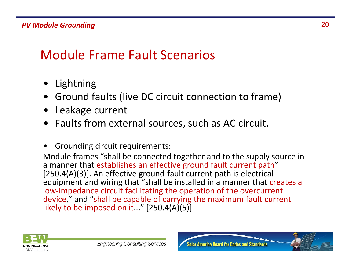## Module Frame Fault Scenarios

- •Lightning
- Ground faults (live DC circuit connection to frame)
- Leakage current
- Faults from external sources, such as AC circuit.
- •Grounding circuit requirements:

Module frames "shall be connected together and to the supply source in a manner that establishes an effective ground fault current path" [250.4(A)(3)]. An effective ground‐fault current path is electrical equipment and wiring that "shall be installed in <sup>a</sup> manner that creates <sup>a</sup> low‐impedance circuit facilitating the operation of the overcurrent device," and "shall be capable of carrying the maximum fault current likely to be imposed on it..." [250.4(A)(5)]



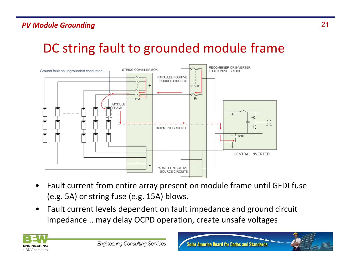### DC string fault to grounded module frame



- • Fault current from entire array present on module frame until GFDI fuse (e.g. 5A) or string fuse (e.g. 15A) blows.
- • Fault current levels dependent on fault impedance and ground circuit impedance .. may delay OCPD operation, create unsafe voltages

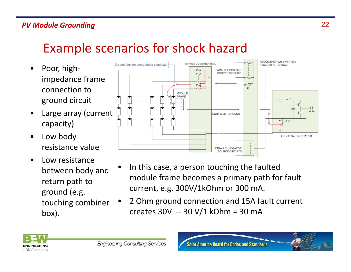### Example scenarios for shock hazard

- $\bullet$  Poor, high‐ impedance frame connection toground circuit
- • Large array (current capacity)
- $\bullet$  Low body resistance value
- • Low resistance between body and return path to ground (e.g. touching combiner box).



- • In this case, <sup>a</sup> person touching the faulted module frame becomes <sup>a</sup> primary path for fault current, e.g. 300V/1kOhm or 300 mA.
- • 2 Ohm ground connection and 15A fault current creates 30V ‐‐ 30 V/1 kOhm <sup>=</sup> 30 mA



**Solar America Board for Codes and Standards** 

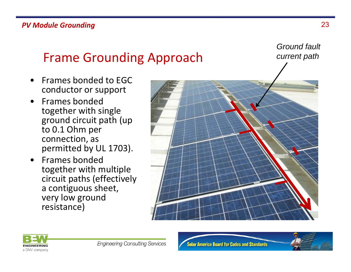### Frame Grounding Approach

- $\bullet$  Frames bonded to EGCconductor or support
- • Frames bondedtogether with single ground circuit path (up to 0.1 Ohm per connection, as permitted by UL 1703).
- $\bullet$  Frames bondedtogether with multiple circuit paths (effectively a contiguous sheet, very low ground resistance)





**Solar America Board for Codes and Standards** 



*Ground fault* 

*current path*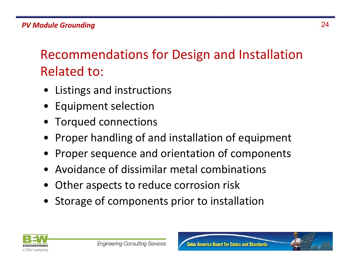Recommendations for Design and Installation Related to:

- •Listings and instructions
- •Equipment selection
- Torqued connections
- •Proper handling of and installation of equipment
- •Proper sequence and orientation of components
- •Avoidance of dissimilar metal combinations
- •Other aspects to reduce corrosion risk
- Storage of components prior to installation